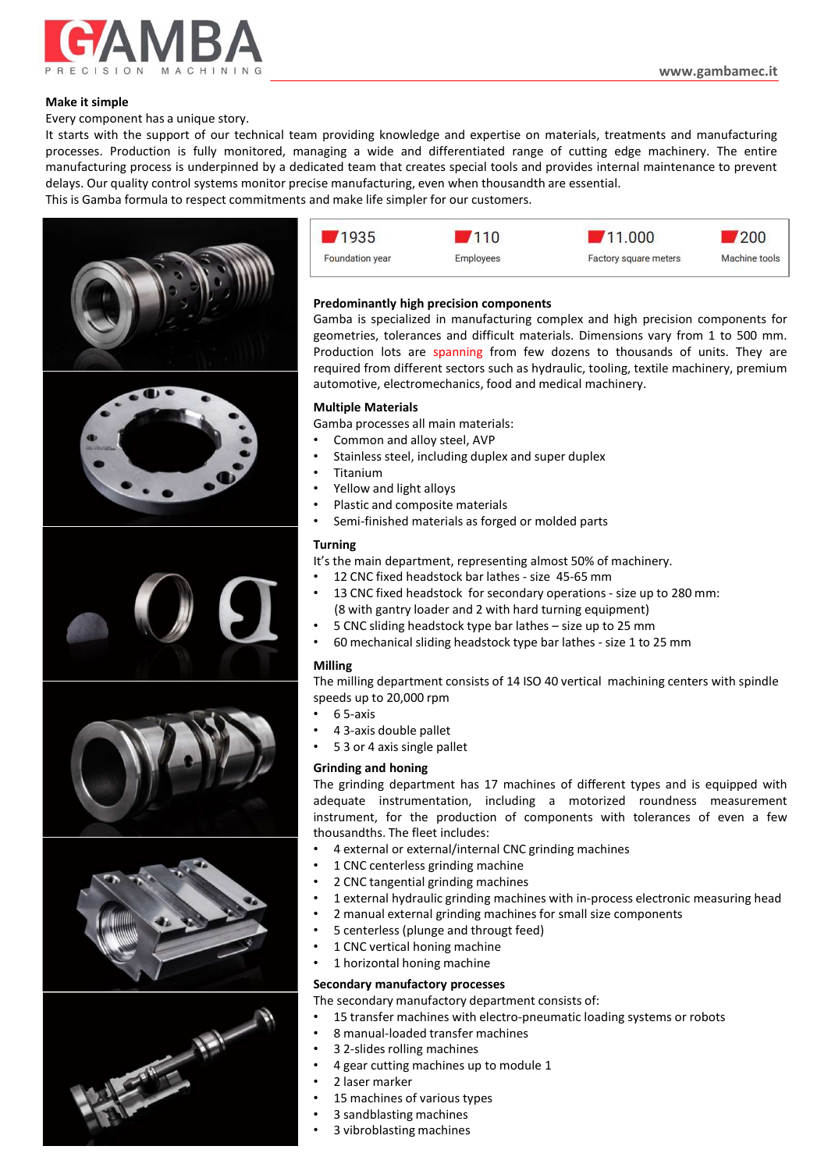

**EXECUSION MACHINING**<br> **EXECUSION MACHINING**<br> **EXECUSION MACHINING**<br>
Every component has a unique story.<br>
It starts with the support of our technical team providing knowledge and expertise on<br>
processes. Production is full **EVERTING STATE OF STATE COLLOGED**<br>
THE CISION MACHINING<br>
Every component has a unique story.<br>
It starts with the support of our technical team providing knowledge and expertise on materials, treatments<br>
processes. Product **INSTERT OF A MANU START WE ARREST CONDUCTS WE ARREST ON MAKE IT START WE SERVICT ON MAKE IT START WE SUPPORT ON THE SUPPORT OF OUR TECHNICAL THIS ARREST PROCESS START WE ARREST PORT OF OUR THIS IS GAMBA FOR MULTIPLY DOCES PRECISION MACHINING**<br>
Make it simple<br>
Make it simple<br>
Every component has a unique story.<br>
It starts with the support of our technical team providing knowledge and expertise on materials, treatments and manufacturing<br>
pro PRECISION MACHINING<br>
Mente it simple<br>
Every component has a unique story.<br>
It starts with the support of our technical team providing knowledge and expertise on materials, treatments and manufacturing<br>
process is roduction **EXECTISTION MACHINING**<br>
Make it simple<br>
EV component has a unique story.<br>
Every component has a unique story.<br>
It starts with the support of our technical team providing knowledge and expertise on materials, treatments an THE CISION MACHINING<br>
THE CISION MACHINING<br>
Every component has a unique story.<br>
It starts with the support of our technical team providing knowledge and expertise on materials, treatments and manufacturing<br>
processes. Pro



| $\blacktriangledown$ 1935 | 7110      | $\blacksquare$ 11.000 | '200          |
|---------------------------|-----------|-----------------------|---------------|
| Foundation year           | Employees | Factory square meters | Machine tools |

manumized and expertise on materials, treatments and manufacturing<br>aging a wide and differentiated range of cutting edge machinery. The entire<br>cated team that creates special tools and provides internal maintenance to prev WWW.gambamec.it<br>
anging a wide and differentiated range of cutting edge machinery. The entire<br>
acted team that creates special tools and provides internal maintenance to prevent<br>
is manufacturing, even when thousandth are www.gambamec.it<br>
providing knowledge and expertise on materials, treatments and manufacturing<br>
maging a wide and differentiated range of cutting edge machinery. The entire<br>
sign manufacturing, even when thousandth are esse materials, treatments and manufacturing<br>
are are spanning and expectise on materials, treatments and manufacturing<br>
diated team that creates special tools and provides internal maintenance to prevent<br>
is manufacturing, eve mation and the matter such as the matter of external and manufacturing<br>aging a wide and differentiated range of cutting edge machinery. The entire<br>cated team that creates special tools and provides internal maintenance to moviding knowledge and expertise on materials, treatments and manufacturing<br>anging a wide and differentiated range of cutting edge machinery. The entire<br>cated team that creates special tools and provides internal maintenan materials:<br>
The main materials: and differentiated range of culting edge machinery. The entire<br>
acted team that creates special tools and provides internal maintenance to prevent<br>
ise manufacturing, even when thousandth ar 1935<br>
• 110<br>
• Foundation year<br>
• Employees<br>
• Fredominantly high precision components<br> **Predominantly high precision components**<br> **Comba** is specialized in manufacturing complex and high precision components for<br> **Evanta** Foundation year Employees<br> **Fractory square meters**<br> **Predominantly high precision components**<br> **Predominantly high precision components**<br> **Expectitively**<br> **Expectitions:** a preduction components for<br> **Expectitions:** A col **Predominantly high precision components**<br>
Gamba is specialized in manufacturing complex and high precision components for<br>
geometries, tolerances and difficult materials. Dimensions vary from 1 to 500 mm.<br>
Production lots **Predominantly high precision components**<br>
Gramba is specialized in manufacturing complex and high precision components for<br>
Gramba is precialized in manufacturing complex and the buseands of units. They are<br>
Production lo

## Multiple Materials

- 
- Stainless steel, including duplex and super duplex
- Titanium
- Yellow and light alloys
- Plastic and composite materials
- Semi-finished materials as forged or molded parts

# Turning

It's the main department, representing almost 50% of machinery.

- 
- (8 with gantry loader and 2 with hard turning equipment)
- 
- 

# Milling

The milling department consists of 14 ISO 40 vertical machining centers with spindle speeds up to 20,000 rpm

- $6$  5-axis
- 4 3-axis double pallet
- 5 3 or 4 axis single pallet

Gamba processes all main materials:<br>
• Common and alloy steel, AVP<br>
• Stalniess steel, including duplex and super duplex<br>
• Titlanium<br>
• Platic and composite materials<br>
• Semi-finished materials as forged or molded parts<br> • Common and alloy steel, AVP<br>• Stainess steel, including duplex and super duplex<br>• Yellow and light alloys<br>• Yellow and light alloys<br>• Plastic and composite materials<br>• Semi-finished materials as forged or molded parts<br>• • Stainless steel, including duplex and super duplex<br>• Teliou and light alloys<br>• Platic and composite materials<br>• Semi-finished materials as forged or molded parts<br>**Turning**<br>**1:** 12 CNC fixed headstock for secondary operat • Titanium<br>• Nellow and light alloys<br>• Plastic and composite materials<br>• Semi-finished materials as forged or molded parts<br>**Turning**<br>**It's the main department, representing almost 50% of machinery.<br>• 12 CNC fixed headstock** e Yellow and light alloys<br>
• Yellastic and composite materials<br>
• Semi-finished materials as forged or molded parts<br> **Turning**<br>
• 13 CNC fixed headstock for secondary operations - size up to 280 mm:<br>
• 13 CNC fixed headsto • Semi-finished materials as forged or molded parts<br> **Turning**<br> **Turning**<br> **Turning department, representing almost 50% of machinery.**<br>
• 12 CNC fixed headstock for secondary operations - size up to 280 mm:<br>
• 13 CNC fixed **Turning**<br>
• 12 CNC fixed headstock bar lathes - size 45-65 mm<br>
• 2 12 CNC fixed headstock bar lathes - size 45-65 mm<br>
• 13 CNC fixed headstock for secondary operations - size up to 280 mm:<br>
• 8 CNC fixed headstock for se • 12 COC fixed headstock bar lathes - size 45-6-55 mm<br>
• 12 COC fixed headstock for asecondary operations - size up to 280 mm:<br>
• 13 COC fixed headstock for secondary operations - size up to 280 mm:<br>
• 5 COC sliding headst • 2 manual external (internal grinding manual external grinding manual external is components and the stational of the secondary operations - size up to 280 mm:<br>
• 13 CNC fixed headstock for secondary operations - size up • 1 Clavel headstock for secondary operations - size up to 280 mm:<br>
• 13 CNC fixed headstock for secondary operations - size up to 280 mm:<br>
• 5 cNC sliding headstock type bar lathes - size up to 25 mm<br>
• 60 mechanical slid • Concergionty isosed and the state of the state of the state of the state of the state of the state of the milling eleadstock type bar lathes – size up to 25 mm<br>
• 60 mechanical sliding headstock type bar lathes – size up • 60 mechanical sliding headstock type bar lathes - size 1 to 25 mm<br> **Milling**<br>
The milling department consists of 14 ISO 40 vertical machining centers with spindle<br>
speeds up to 20,000 rpm<br>
• 43-axis double pallet<br>
• 5-ax **Milling**<br>
The milling department consists of 14 ISO 40 vertical machining centers with spindle<br>
speeds up to 20,000 rpm<br>
• 6 5-axis<br>
• 3 or 4 axis single pallet<br>
• 3 sor 4 axis single pallet<br>
6 The grinding and honing<br>
12 From the than the control of the secondary manufactory dependent controls and  $3-3$  solid particle of 5-axis could pallet  $\sim$  5-3 or 4 axis single pallet  $\sim$  5-3 or 4 axis single pallet and boning the gynding department • 5 3 or 4 axis single pallet<br>
• 5 5-axis<br>
• 4 3-axis double pallet<br>
• 5 3-axis<br> **Griding and honing**<br> **Chromatealistic Scriding department** has 17 machines of different types and is equipped with<br>
The grinding adpartment • 3 geads<br>
• 4 gear cutting and honing<br>
• 4 gear axis single pallet<br>
• 5 3 or 4 axis single pallet<br>
• The grinding department has 17 machines of different types and is equipped with<br>
adequate instrumentation, including a m • 3 sans wouve painter<br>
• 3 3 or 4 axis single pallet<br>
• 5 3 or 4 axis single pallet<br>
Grinding and honing<br>
The grinding department has 17 machines of different types and is equipped with<br>
theorysamults. The flect includes: **Grinding and honing**<br> **Grinding** department has 17 machines of different types and is equipped with<br>
The grinding department has 17 machines of different types and is equipped with<br>
adequate instrument, for the production The grinding department has 17 machines of different types and is equipped with<br>adequate instrumentation, including a motorized roundness measurement<br>instrument, for the production of components with tolerances of even a f

- 
- 
- 
- 
- 
- 
- 
- 

- 
- 
- 
- 
- 
- 
- 
-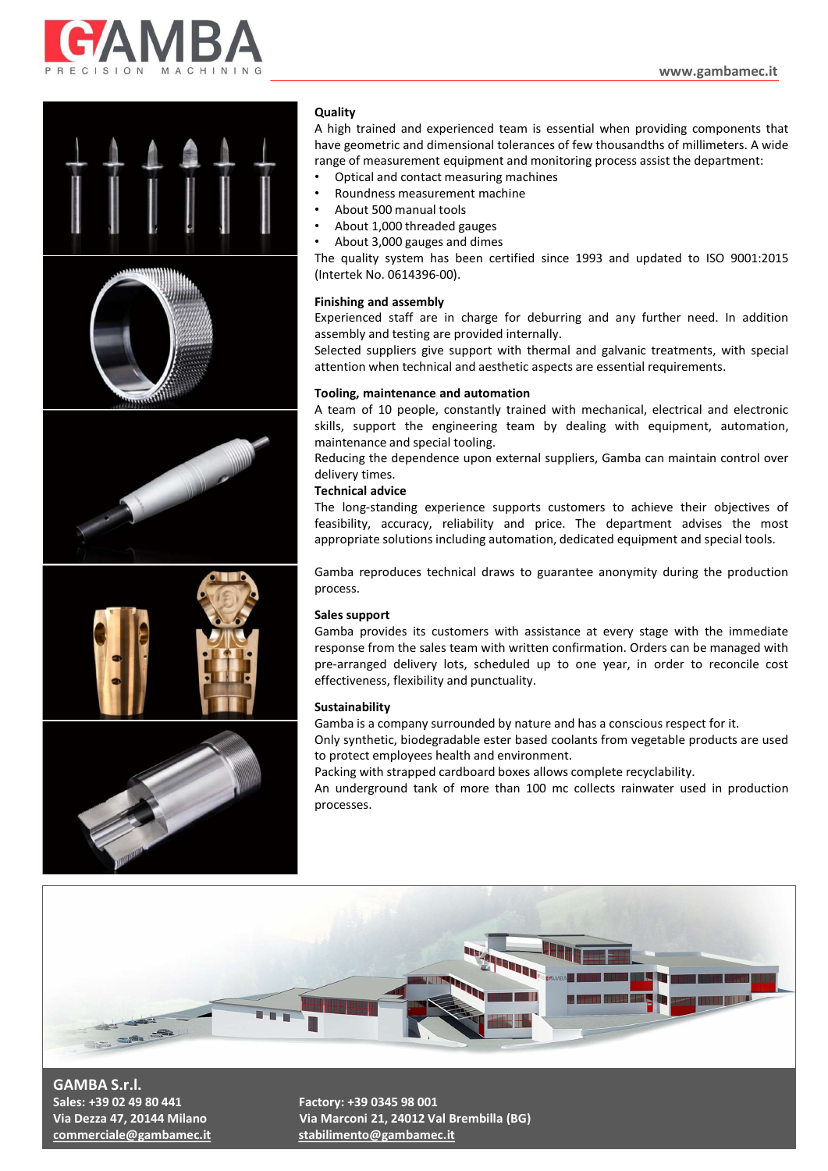







# **Quality**

Net a consider the and experienced team is essential when providing components that<br>
thave geometric and dimensional tolerances of few thousandths of millimeters. A wide<br>
range of measurement equipment and monitoring proce **Quality**<br> **Quality**<br>
A high trained and experienced team is essential when providing components that<br>
have geometric and dimensional tolerances of few thousandths of millimeters. A wide<br>
range of measurement equipment and **Quality**<br> **A** high trained and experienced team is essential when providing components that<br>
have geometric and dimensional tolerances of few thousandths of millimeters. A wide<br> **c** optical and contact measuring machines<br> • Wurden and experienced team is essential when providing components that<br>
A high trained and experienced team is essential when providing components that<br>
have geometric and dimensional tolerances of few thousandths of mi **Example 10**<br> **A** high trained and experienced team is essential when providing components that<br>
A high trained and experienced team is essential when providing components that<br> **A** have geometric and dimensional tolerance WWW.gambamec.it<br>
Quality<br>
A high trained and experienced team is essential when providing components that<br>
have geometric and dimensional tolerances of few thousandths of millimeters. A wide<br>
range of measurement equipment **Quality**<br> **Quality**<br> **Quality**<br>
A high trained and experienced team is essential when providing components that<br>
have geometric and dimensional tolerances of few thousandths of millimeters. A wide<br>
• Optical and contact m WWW.gambamec.it<br> **Quality**<br>
A high trained and experienced team is essential when providing components that<br>
thave geometric and dimensional tolerances of few thousandths of millimeters. A wide<br>
range of measurement equipm WWW.gambamec.it<br>
Quality<br>
A high trained and experienced team is essential when providing components that<br>
have geometric and dimensional tolerances of few thousandths of millimeters. A wide<br>
range of measurement equipment WWW.gambamec.it<br>
Quality<br>
A high trained and experienced team is essential when providing components that<br>
have geometric and dimensional tolerances of few thousandths of millimeters. A wide<br>
range of measurement equipment **Quality**<br> **Quality**<br>
A high trained and experienced team is essential when providing components that<br>
A high trained and experienced team is essential when providing omponents that<br>
thave geometric and diontart measuring **Quality**<br> **Quality**<br> **Quality**<br>
A high trained and experienced team is essential when providing components that<br>
A high trained ind dimensional tolerances of few thousandths of millimeters. A wide<br>
range of measurement eq **Quality**<br> **Quality**<br>
A high trained and experienced team is essential when providing components that<br>
A high trained and contact measuring machines charge of measurement equipment and monitoring process assist the departm WWW.gambamec.it<br>
Quality<br>
A high trained and experienced team is essential when providing components that<br>
have geometric and dimensional tolerances of few thousandths of millimeters. A wide<br>
range of measurement equipment WWW.gambamec.it<br>
WWW.gambamec.it<br>
A high trained and experienced team is essential when providing components that<br>
have geometric and dimensional tolerances of few thousandths of millimeters. A wide<br>
range of measurement e WWW.gambamec.it<br>
A high trained and experienced team is essential when providing components that<br>
have geometric and dimensional tolerances of few thousandths of millimeters. A wide<br>
range of measurement equipment and moni **Quality**<br> **Quality**<br>
A high trained and experienced team is essential when providing components that<br>
A high trained and contact measuring machines charge of measurement equipment and monitoring process assist the departm **Quality**<br> **Quality**<br>
A high trained and experienced team is essential when providing components that<br>
have geometric and dimensional tolerances of few thousandths of millimeters. A wide<br>
range of measurement equipment and **Quality**<br> **Quality** hrained and experienced team is essential when providing components that<br>
have geometric and dimensional tolerances of few thousandths of millimeters. A wide<br>
range of measurement equipment and monitor

- 
- 
- 
- 
- 

A high trained and experienced team is essential when providing components that<br>have geometric and dimensional tolerances of few thousandths of millimeters. A wide<br>range of measurement equipment and monitoring process assi have geometric and dimensional tolerances of few thousandths of millimeters. A wide<br>
range of measurement equipment and monitoring process assist the department:<br>
• Optical and contact measuring machines<br>
• About 5.000 man range of measurement equipment and monitoring process assist the department:<br>
• Optical and contact measuring machines<br>
• About 5,000 manual tools<br>
• About 5,000 manual tools<br>
• About 3,000 gauges and dimes<br>
• About 3,000 • Optical and contact measuring machines<br>• Roundness measurement machine<br>• About 500 manual tools<br>• About 3,000 gauges and dimes<br>5 • About 3,000 gauges and dimes<br>The quality system has been certified since 1993 and updated • Roundness measurement machine<br>• About 5.000 manual tools<br>• About 3.000 gauges and dimes<br>The quality system has been certified since 1993 and updated to 150 9001:2015<br>(Intertek No. 0614396-00).<br> **Finishing and assembly**<br>

process.

• About 1,000 threaded gauges<br>
• About 3,000 gauges and dimes<br>
The quality system has been certified since 1993 and updated to 150 9001:2015<br>
(Intertek No. 0614396-00).<br>
Experienced staff are in charge for deburring and an (Intertek No. 0614396-00).<br> **Finishing and assembly**<br> **Einishing and assembly**<br>
Experienced staff are in charge for deburring and any further need. In addition<br>
Experienced star assembly and testing are provided internally Finishing and assembly<br>
Finishing and assembly<br>
Experienced staff are in charge for deburring!<br>
Selected suppliers give support with thermal and galvanic treatments, with special<br>
selected suppliers give support with therm Finishing and assembly and assembly and any further need. In addition Experienced staff are in charge for deburring and any further need. In addition assembly and testing are provided internally.<br>Selected suppliers give su Experienced starf are in charge for deburring and any further need. In addition<br>Selected suppliers give support with thermal and galvanic treatments, with special<br>steentino when technical and aesthetic aspects are essentia assembly and testing are provided internally.<br>
Selected suppliers give support with thermal and galvanic treatments, with special<br>
attention when technical and aesthetic aspects are essential requirements.<br> **Tooling, maint Tooling, maintenance and automation**<br>A team of 10 people, constantly trained with mechanical, electrical and electronic<br>Askills, support the engineering team by dealing with equipment, automation,<br>maintenance and special **Tooling, maintenance and automation**<br> **Tooling, maintenance and automation**<br>
A team of 10 people, constantly trained with mechanical, electrical and electronic<br>
skills, support the engineering team by dealing with equipme A team of 10 people, constantly trained with mechanical, electrical and electronic<br>A team of 10 people, constantly trained with mechanical, electrical and electronic<br>stills, support the engineering team by dealing with equ skills, support the engineering team by dealing with equipment, automation,<br>Reducing the dependence upon external suppliers, Gamba can maintain control over<br>delivery times.<br>The long-standing experience supports customers t maintenane and special tooling.<br>Reducing the dependence upon external suppliers, Gamba can maintain control over<br>delivery times.<br>The long-standing experience supports customers to achieve their objectives of<br>feasibility, a

## **Sustainability**

processes.



GAMBA S.r.l. Sales: +39 02 49 80 441 Factory: +39 0345 98 001

Via Dezza 47, 20144 Milano Via Marconi 21, 24012 Val Brembilla (BG)